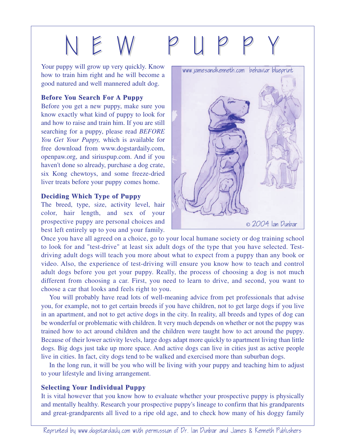# N E W P U P P Y

Your puppy will grow up very quickly. Know how to train him right and he will become a good natured and well mannered adult dog.

### **Before You Search For A Puppy**

Before you get a new puppy, make sure you know exactly what kind of puppy to look for and how to raise and train him. If you are still searching for a puppy, please read *BEFORE You Get Your Puppy,* which is available for free download from www.dogstardaily.com, openpaw.org, and siriuspup.com. And if you haven't done so already, purchase a dog crate, six Kong chewtoys, and some freeze-dried liver treats before your puppy comes home.

#### **Deciding Which Type of Puppy**

The breed, type, size, activity level, hair color, hair length, and sex of your prospective puppy are personal choices and best left entirely up to you and your family.



Once you have all agreed on a choice, go to your local humane society or dog training school to look for and "test-drive" at least six adult dogs of the type that you have selected. Testdriving adult dogs will teach you more about what to expect from a puppy than any book or video. Also, the experience of test-driving will ensure you know how to teach and control adult dogs before you get your puppy. Really, the process of choosing a dog is not much different from choosing a car. First, you need to learn to drive, and second, you want to choose a car that looks and feels right to you.

You will probably have read lots of well-meaning advice from pet professionals that advise you, for example, not to get certain breeds if you have children, not to get large dogs if you live in an apartment, and not to get active dogs in the city. In reality, all breeds and types of dog can be wonderful or problematic with children. It very much depends on whether or not the puppy was trained how to act around children and the children were taught how to act around the puppy. Because of their lower activity levels, large dogs adapt more quickly to apartment living than little dogs. Big dogs just take up more space. And active dogs can live in cities just as active people live in cities. In fact, city dogs tend to be walked and exercised more than suburban dogs.

In the long run, it will be you who will be living with your puppy and teaching him to adjust to your lifestyle and living arrangement.

## **Selecting Selecting Your Individual Puppy Individual Puppy**

It is vital however that you know how to evaluate whether your prospective puppy is physically and mentally healthy. Research your prospective puppy's lineage to confirm that his grandparents and great-grandparents all lived to a ripe old age, and to check how many of his doggy family